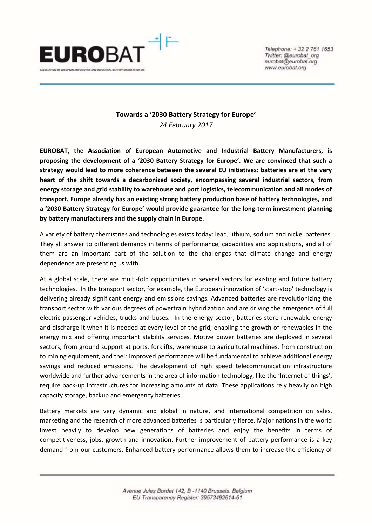

Telephone: + 32 2 761 1653 Twitter: @eurobat\_org eurobat@eurobat.org www.eurobat.org

## **Towards a '2030 Battery Strategy for Europe'** *24 February 2017*

**EUROBAT, the Association of European Automotive and Industrial Battery Manufacturers, is proposing the development of a '2030 Battery Strategy for Europe'. We are convinced that such a strategy would lead to more coherence between the several EU initiatives: batteries are at the very heart of the shift towards a decarbonized society, encompassing several industrial sectors, from energy storage and grid stability to warehouse and port logistics, telecommunication and all modes of transport. Europe already has an existing strong battery production base of battery technologies, and a '2030 Battery Strategy for Europe' would provide guarantee for the long-term investment planning by battery manufacturers and the supply chain in Europe.** 

A variety of battery chemistries and technologies exists today: lead, lithium, sodium and nickel batteries. They all answer to different demands in terms of performance, capabilities and applications, and all of them are an important part of the solution to the challenges that climate change and energy dependence are presenting us with.

At a global scale, there are multi-fold opportunities in several sectors for existing and future battery technologies. In the transport sector, for example, the European innovation of 'start-stop' technology is delivering already significant energy and emissions savings. Advanced batteries are revolutionizing the transport sector with various degrees of powertrain hybridization and are driving the emergence of full electric passenger vehicles, trucks and buses. In the energy sector, batteries store renewable energy and discharge it when it is needed at every level of the grid, enabling the growth of renewables in the energy mix and offering important stability services. Motive power batteries are deployed in several sectors, from ground support at ports, forklifts, warehouse to agricultural machines, from construction to mining equipment, and their improved performance will be fundamental to achieve additional energy savings and reduced emissions. The development of high speed telecommunication infrastructure worldwide and further advancements in the area of information technology, like the 'Internet of things', require back-up infrastructures for increasing amounts of data. These applications rely heavily on high capacity storage, backup and emergency batteries.

Battery markets are very dynamic and global in nature, and international competition on sales, marketing and the research of more advanced batteries is particularly fierce. Major nations in the world invest heavily to develop new generations of batteries and enjoy the benefits in terms of competitiveness, jobs, growth and innovation. Further improvement of battery performance is a key demand from our customers. Enhanced battery performance allows them to increase the efficiency of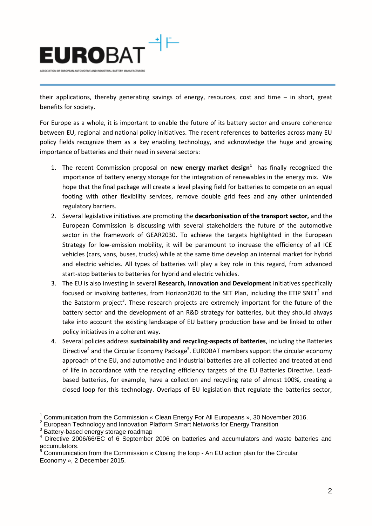

their applications, thereby generating savings of energy, resources, cost and time – in short, great benefits for society.

For Europe as a whole, it is important to enable the future of its battery sector and ensure coherence between EU, regional and national policy initiatives. The recent references to batteries across many EU policy fields recognize them as a key enabling technology, and acknowledge the huge and growing importance of batteries and their need in several sectors:

- 1. The recent Commission proposal on **new energy market design<sup>1</sup>** has finally recognized the importance of battery energy storage for the integration of renewables in the energy mix. We hope that the final package will create a level playing field for batteries to compete on an equal footing with other flexibility services, remove double grid fees and any other unintended regulatory barriers.
- 2. Several legislative initiatives are promoting the **decarbonisation of the transport sector,** and the European Commission is discussing with several stakeholders the future of the automotive sector in the framework of GEAR2030. To achieve the targets highlighted in the European Strategy for low-emission mobility, it will be paramount to increase the efficiency of all ICE vehicles (cars, vans, buses, trucks) while at the same time develop an internal market for hybrid and electric vehicles. All types of batteries will play a key role in this regard, from advanced start-stop batteries to batteries for hybrid and electric vehicles.
- 3. The EU is also investing in several **Research, Innovation and Development** initiatives specifically focused or involving batteries, from Horizon2020 to the SET Plan, including the ETIP SNET<sup>2</sup> and the Batstorm project<sup>3</sup>. These research projects are extremely important for the future of the battery sector and the development of an R&D strategy for batteries, but they should always take into account the existing landscape of EU battery production base and be linked to other policy initiatives in a coherent way.
- 4. Several policies address **sustainability and recycling-aspects of batteries**, including the Batteries Directive<sup>4</sup> and the Circular Economy Package<sup>5</sup>. EUROBAT members support the circular economy approach of the EU, and automotive and industrial batteries are all collected and treated at end of life in accordance with the recycling efficiency targets of the EU Batteries Directive. Leadbased batteries, for example, have a collection and recycling rate of almost 100%, creating a closed loop for this technology. Overlaps of EU legislation that regulate the batteries sector,

 $\overline{a}$ 

<sup>1</sup> Communication from the Commission « Clean Energy For All Europeans », 30 November 2016.

<sup>2</sup> European Technology and Innovation Platform Smart Networks for Energy Transition

<sup>&</sup>lt;sup>3</sup> Battery-based energy storage roadmap

<sup>&</sup>lt;sup>4</sup> Directive 2006/66/EC of 6 September 2006 on batteries and accumulators and waste batteries and accumulators.

 $<sup>5</sup>$  Communication from the Commission « Closing the loop - An EU action plan for the Circular</sup> Economy », 2 December 2015.